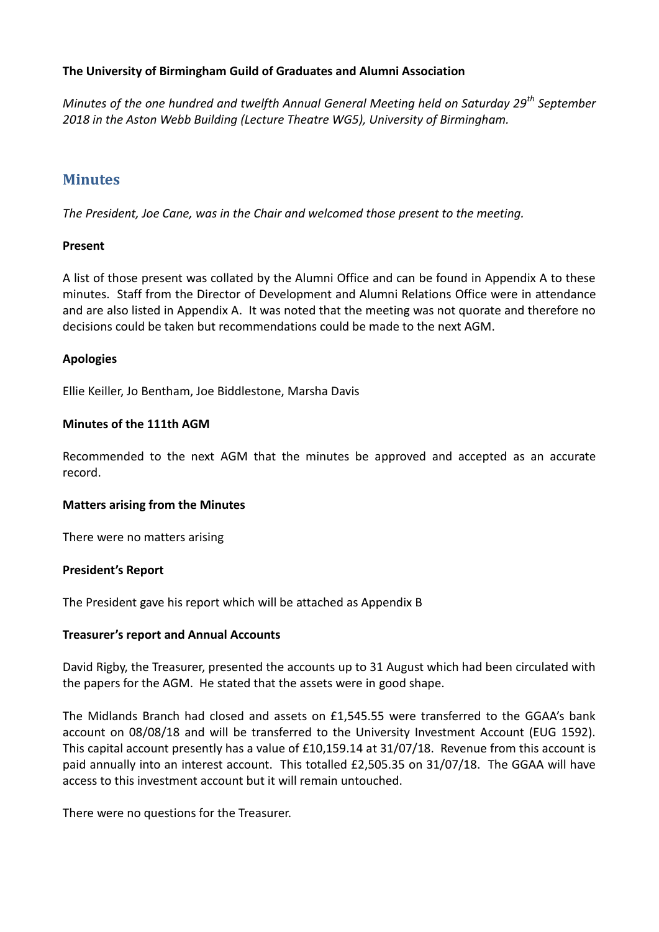### **The University of Birmingham Guild of Graduates and Alumni Association**

*Minutes of the one hundred and twelfth Annual General Meeting held on Saturday 29th September 2018 in the Aston Webb Building (Lecture Theatre WG5), University of Birmingham.*

## **Minutes**

*The President, Joe Cane, was in the Chair and welcomed those present to the meeting.*

#### **Present**

A list of those present was collated by the Alumni Office and can be found in Appendix A to these minutes. Staff from the Director of Development and Alumni Relations Office were in attendance and are also listed in Appendix A. It was noted that the meeting was not quorate and therefore no decisions could be taken but recommendations could be made to the next AGM.

#### **Apologies**

Ellie Keiller, Jo Bentham, Joe Biddlestone, Marsha Davis

#### **Minutes of the 111th AGM**

Recommended to the next AGM that the minutes be approved and accepted as an accurate record.

#### **Matters arising from the Minutes**

There were no matters arising

#### **President's Report**

The President gave his report which will be attached as Appendix B

#### **Treasurer's report and Annual Accounts**

David Rigby, the Treasurer, presented the accounts up to 31 August which had been circulated with the papers for the AGM. He stated that the assets were in good shape.

The Midlands Branch had closed and assets on £1,545.55 were transferred to the GGAA's bank account on 08/08/18 and will be transferred to the University Investment Account (EUG 1592). This capital account presently has a value of £10,159.14 at 31/07/18. Revenue from this account is paid annually into an interest account. This totalled £2,505.35 on 31/07/18. The GGAA will have access to this investment account but it will remain untouched.

There were no questions for the Treasurer.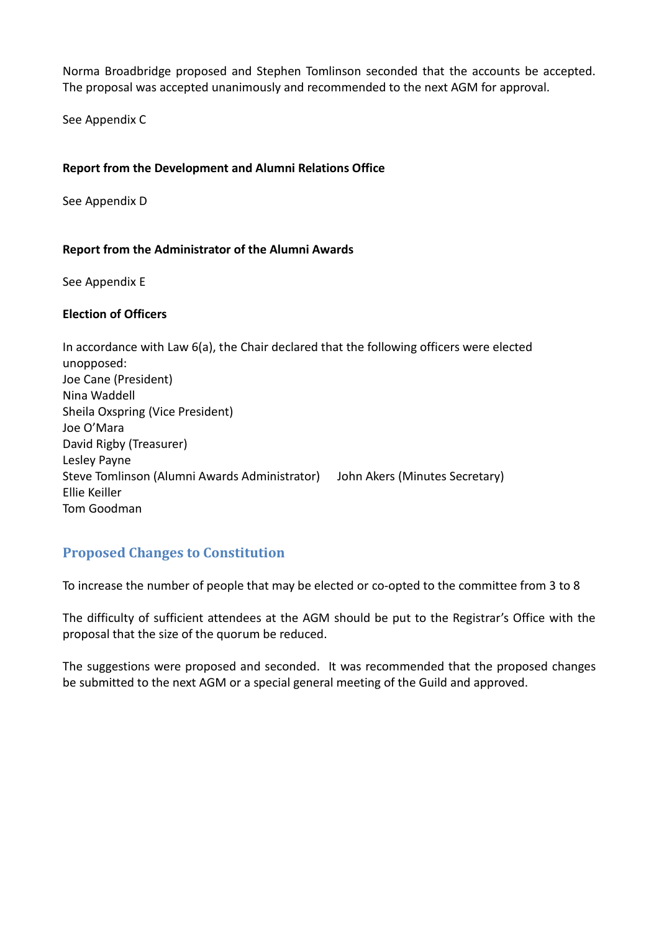Norma Broadbridge proposed and Stephen Tomlinson seconded that the accounts be accepted. The proposal was accepted unanimously and recommended to the next AGM for approval.

See Appendix C

#### **Report from the Development and Alumni Relations Office**

See Appendix D

#### **Report from the Administrator of the Alumni Awards**

See Appendix E

#### **Election of Officers**

In accordance with Law 6(a), the Chair declared that the following officers were elected unopposed: Joe Cane (President) Nina Waddell Sheila Oxspring (Vice President) Joe O'Mara David Rigby (Treasurer) Lesley Payne Steve Tomlinson (Alumni Awards Administrator) John Akers (Minutes Secretary) Ellie Keiller Tom Goodman

# **Proposed Changes to Constitution**

To increase the number of people that may be elected or co-opted to the committee from 3 to 8

The difficulty of sufficient attendees at the AGM should be put to the Registrar's Office with the proposal that the size of the quorum be reduced.

The suggestions were proposed and seconded. It was recommended that the proposed changes be submitted to the next AGM or a special general meeting of the Guild and approved.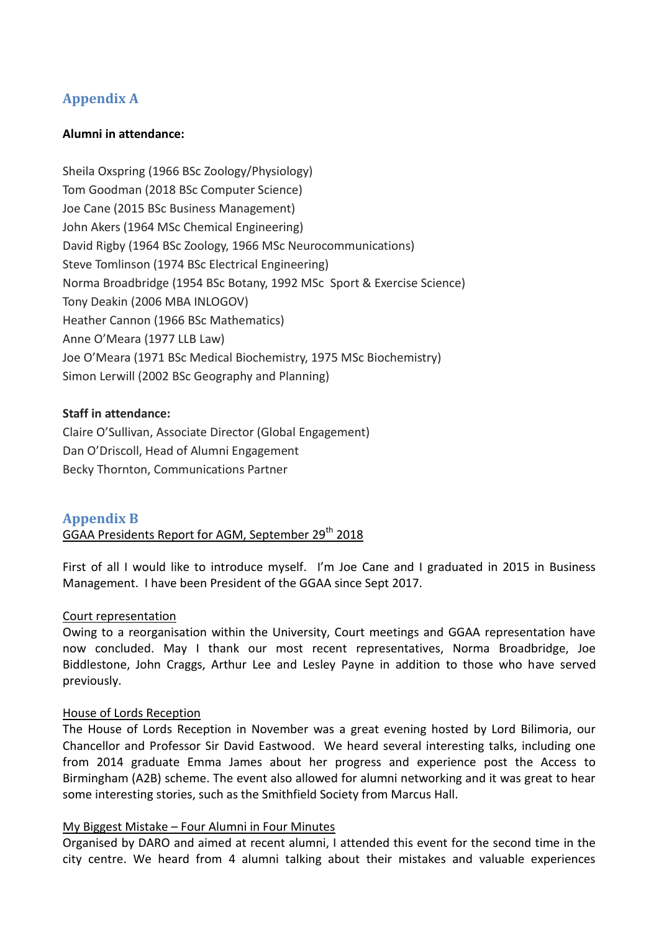# **Appendix A**

#### **Alumni in attendance:**

Sheila Oxspring (1966 BSc Zoology/Physiology) Tom Goodman (2018 BSc Computer Science) Joe Cane (2015 BSc Business Management) John Akers (1964 MSc Chemical Engineering) David Rigby (1964 BSc Zoology, 1966 MSc Neurocommunications) Steve Tomlinson (1974 BSc Electrical Engineering) Norma Broadbridge (1954 BSc Botany, 1992 MSc Sport & Exercise Science) Tony Deakin (2006 MBA INLOGOV) Heather Cannon (1966 BSc Mathematics) Anne O'Meara (1977 LLB Law) Joe O'Meara (1971 BSc Medical Biochemistry, 1975 MSc Biochemistry) Simon Lerwill (2002 BSc Geography and Planning)

#### **Staff in attendance:**

Claire O'Sullivan, Associate Director (Global Engagement) Dan O'Driscoll, Head of Alumni Engagement Becky Thornton, Communications Partner

### **Appendix B**

GGAA Presidents Report for AGM, September 29<sup>th</sup> 2018

First of all I would like to introduce myself.I'm Joe Cane and I graduated in 2015 in Business Management. I have been President of the GGAA since Sept 2017.

#### Court representation

Owing to a reorganisation within the University, Court meetings and GGAA representation have now concluded. May I thank our most recent representatives, Norma Broadbridge, Joe Biddlestone, John Craggs, Arthur Lee and Lesley Payne in addition to those who have served previously.

#### House of Lords Reception

The House of Lords Reception in November was a great evening hosted by Lord Bilimoria, our Chancellor and Professor Sir David Eastwood. We heard several interesting talks, including one from 2014 graduate Emma James about her progress and experience post the Access to Birmingham (A2B) scheme. The event also allowed for alumni networking and it was great to hear some interesting stories, such as the Smithfield Society from Marcus Hall.

#### My Biggest Mistake – Four Alumni in Four Minutes

Organised by DARO and aimed at recent alumni, I attended this event for the second time in the city centre. We heard from 4 alumni talking about their mistakes and valuable experiences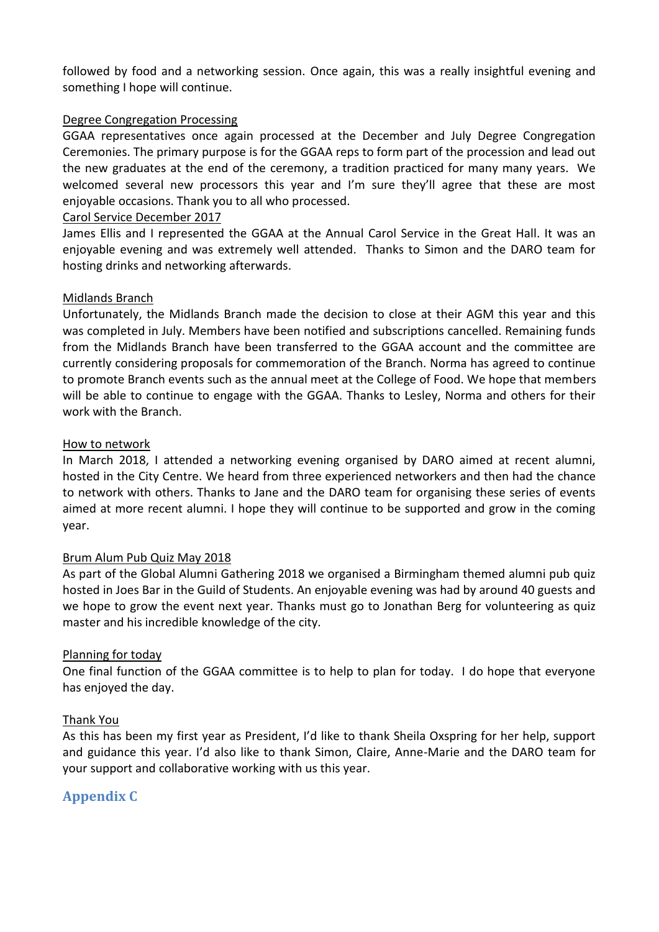followed by food and a networking session. Once again, this was a really insightful evening and something I hope will continue.

#### Degree Congregation Processing

GGAA representatives once again processed at the December and July Degree Congregation Ceremonies. The primary purpose is for the GGAA reps to form part of the procession and lead out the new graduates at the end of the ceremony, a tradition practiced for many many years. We welcomed several new processors this year and I'm sure they'll agree that these are most enjoyable occasions. Thank you to all who processed.

#### Carol Service December 2017

James Ellis and I represented the GGAA at the Annual Carol Service in the Great Hall. It was an enjoyable evening and was extremely well attended. Thanks to Simon and the DARO team for hosting drinks and networking afterwards.

#### Midlands Branch

Unfortunately, the Midlands Branch made the decision to close at their AGM this year and this was completed in July. Members have been notified and subscriptions cancelled. Remaining funds from the Midlands Branch have been transferred to the GGAA account and the committee are currently considering proposals for commemoration of the Branch. Norma has agreed to continue to promote Branch events such as the annual meet at the College of Food. We hope that members will be able to continue to engage with the GGAA. Thanks to Lesley, Norma and others for their work with the Branch.

#### How to network

In March 2018, I attended a networking evening organised by DARO aimed at recent alumni, hosted in the City Centre. We heard from three experienced networkers and then had the chance to network with others. Thanks to Jane and the DARO team for organising these series of events aimed at more recent alumni. I hope they will continue to be supported and grow in the coming year.

#### Brum Alum Pub Quiz May 2018

As part of the Global Alumni Gathering 2018 we organised a Birmingham themed alumni pub quiz hosted in Joes Bar in the Guild of Students. An enjoyable evening was had by around 40 guests and we hope to grow the event next year. Thanks must go to Jonathan Berg for volunteering as quiz master and his incredible knowledge of the city.

#### Planning for today

One final function of the GGAA committee is to help to plan for today. I do hope that everyone has enjoyed the day.

#### Thank You

As this has been my first year as President, I'd like to thank Sheila Oxspring for her help, support and guidance this year. I'd also like to thank Simon, Claire, Anne-Marie and the DARO team for your support and collaborative working with us this year.

## **Appendix C**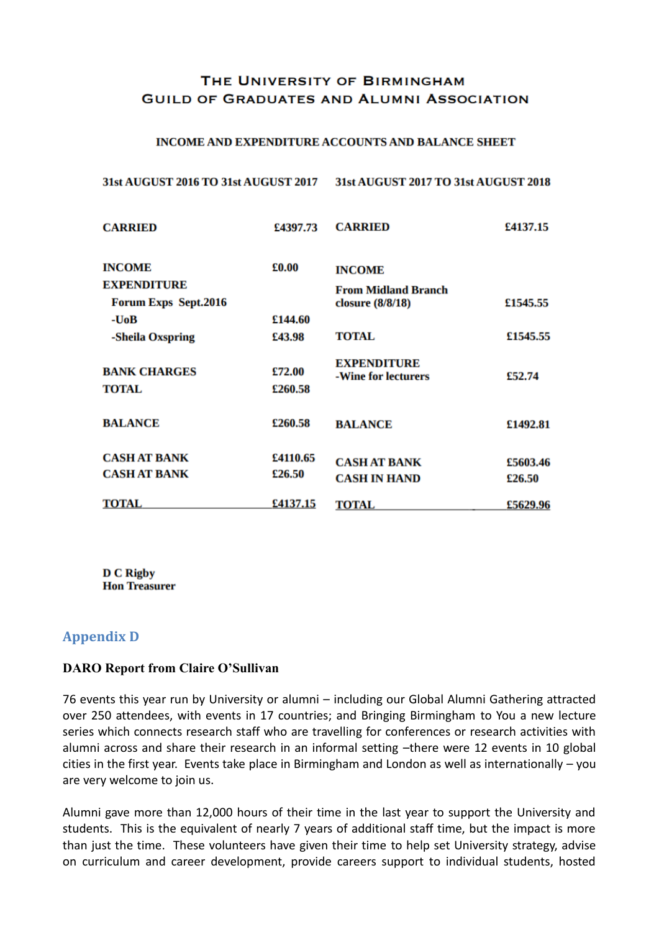## THE UNIVERSITY OF BIRMINGHAM **GUILD OF GRADUATES AND ALUMNI ASSOCIATION**

#### **INCOME AND EXPENDITURE ACCOUNTS AND BALANCE SHEET**

#### 31st AUGUST 2016 TO 31st AUGUST 2017 31st AUGUST 2017 TO 31st AUGUST 2018

| <b>CARRIED</b>                      | £4397.73          | <b>CARRIED</b>                            | £4137.15 |
|-------------------------------------|-------------------|-------------------------------------------|----------|
| <b>INCOME</b>                       | £0.00             | <b>INCOME</b>                             |          |
| <b>EXPENDITURE</b>                  |                   | <b>From Midland Branch</b>                |          |
| <b>Forum Exps Sept.2016</b>         |                   | closure $(8/8/18)$                        | £1545.55 |
| -UoB                                | £144.60           |                                           |          |
| -Sheila Oxspring                    | £43.98            | TOTAL                                     | £1545.55 |
| <b>BANK CHARGES</b><br><b>TOTAL</b> | £72.00<br>£260.58 | <b>EXPENDITURE</b><br>-Wine for lecturers | £52.74   |
| <b>BALANCE</b>                      | £260.58           | <b>BALANCE</b>                            | £1492.81 |
| <b>CASH AT BANK</b>                 | £4110.65          | <b>CASH AT BANK</b>                       | £5603.46 |
| <b>CASH AT BANK</b>                 | £26.50            | <b>CASH IN HAND</b>                       | £26.50   |
| <b>TOTAL</b>                        | £4137.15          | TOTAL                                     | £5629.96 |

**D C Rigby Hon Treasurer** 

### **Appendix D**

#### **DARO Report from Claire O'Sullivan**

76 events this year run by University or alumni – including our Global Alumni Gathering attracted over 250 attendees, with events in 17 countries; and Bringing Birmingham to You a new lecture series which connects research staff who are travelling for conferences or research activities with alumni across and share their research in an informal setting –there were 12 events in 10 global cities in the first year. Events take place in Birmingham and London as well as internationally – you are very welcome to join us.

Alumni gave more than 12,000 hours of their time in the last year to support the University and students. This is the equivalent of nearly 7 years of additional staff time, but the impact is more than just the time. These volunteers have given their time to help set University strategy, advise on curriculum and career development, provide careers support to individual students, hosted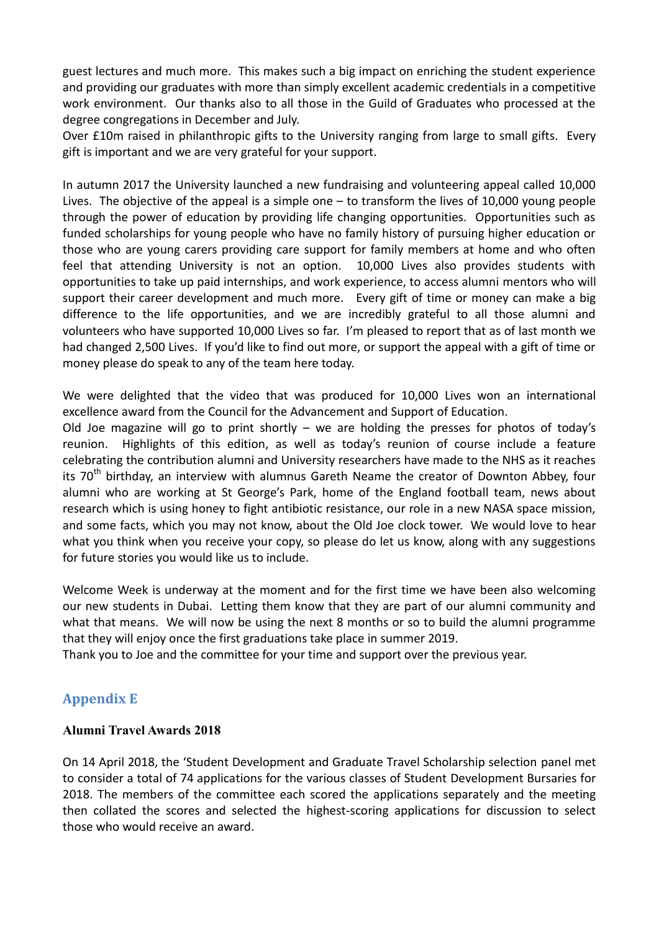guest lectures and much more. This makes such a big impact on enriching the student experience and providing our graduates with more than simply excellent academic credentials in a competitive work environment. Our thanks also to all those in the Guild of Graduates who processed at the degree congregations in December and July.

Over £10m raised in philanthropic gifts to the University ranging from large to small gifts. Every gift is important and we are very grateful for your support.

In autumn 2017 the University launched a new fundraising and volunteering appeal called 10,000 Lives. The objective of the appeal is a simple one – to transform the lives of 10,000 young people through the power of education by providing life changing opportunities. Opportunities such as funded scholarships for young people who have no family history of pursuing higher education or those who are young carers providing care support for family members at home and who often feel that attending University is not an option. 10,000 Lives also provides students with opportunities to take up paid internships, and work experience, to access alumni mentors who will support their career development and much more. Every gift of time or money can make a big difference to the life opportunities, and we are incredibly grateful to all those alumni and volunteers who have supported 10,000 Lives so far. I'm pleased to report that as of last month we had changed 2,500 Lives. If you'd like to find out more, or support the appeal with a gift of time or money please do speak to any of the team here today.

We were delighted that the video that was produced for 10,000 Lives won an international excellence award from the Council for the Advancement and Support of Education.

Old Joe magazine will go to print shortly  $-$  we are holding the presses for photos of today's reunion. Highlights of this edition, as well as today's reunion of course include a feature celebrating the contribution alumni and University researchers have made to the NHS as it reaches its  $70<sup>th</sup>$  birthday, an interview with alumnus Gareth Neame the creator of Downton Abbey, four alumni who are working at St George's Park, home of the England football team, news about research which is using honey to fight antibiotic resistance, our role in a new NASA space mission, and some facts, which you may not know, about the Old Joe clock tower. We would love to hear what you think when you receive your copy, so please do let us know, along with any suggestions for future stories you would like us to include.

Welcome Week is underway at the moment and for the first time we have been also welcoming our new students in Dubai. Letting them know that they are part of our alumni community and what that means. We will now be using the next 8 months or so to build the alumni programme that they will enjoy once the first graduations take place in summer 2019.

Thank you to Joe and the committee for your time and support over the previous year.

# **Appendix E**

### **Alumni Travel Awards 2018**

On 14 April 2018, the 'Student Development and Graduate Travel Scholarship selection panel met to consider a total of 74 applications for the various classes of Student Development Bursaries for 2018. The members of the committee each scored the applications separately and the meeting then collated the scores and selected the highest-scoring applications for discussion to select those who would receive an award.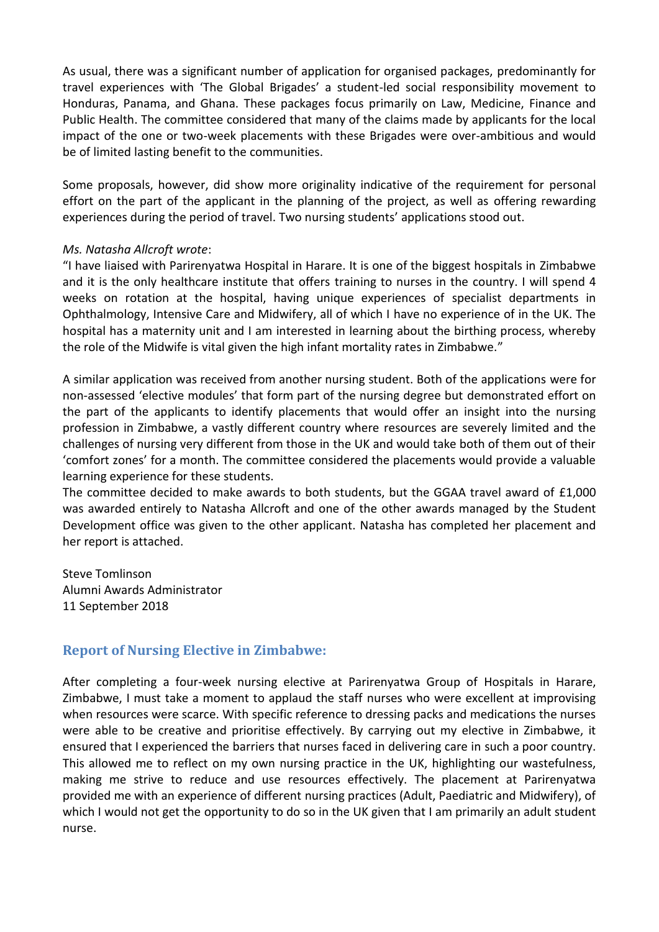As usual, there was a significant number of application for organised packages, predominantly for travel experiences with 'The Global Brigades' a student-led social responsibility movement to Honduras, Panama, and Ghana. These packages focus primarily on Law, Medicine, Finance and Public Health. The committee considered that many of the claims made by applicants for the local impact of the one or two-week placements with these Brigades were over-ambitious and would be of limited lasting benefit to the communities.

Some proposals, however, did show more originality indicative of the requirement for personal effort on the part of the applicant in the planning of the project, as well as offering rewarding experiences during the period of travel. Two nursing students' applications stood out.

#### *Ms. Natasha Allcroft wrote*:

"I have liaised with Parirenyatwa Hospital in Harare. It is one of the biggest hospitals in Zimbabwe and it is the only healthcare institute that offers training to nurses in the country. I will spend 4 weeks on rotation at the hospital, having unique experiences of specialist departments in Ophthalmology, Intensive Care and Midwifery, all of which I have no experience of in the UK. The hospital has a maternity unit and I am interested in learning about the birthing process, whereby the role of the Midwife is vital given the high infant mortality rates in Zimbabwe."

A similar application was received from another nursing student. Both of the applications were for non-assessed 'elective modules' that form part of the nursing degree but demonstrated effort on the part of the applicants to identify placements that would offer an insight into the nursing profession in Zimbabwe, a vastly different country where resources are severely limited and the challenges of nursing very different from those in the UK and would take both of them out of their 'comfort zones' for a month. The committee considered the placements would provide a valuable learning experience for these students.

The committee decided to make awards to both students, but the GGAA travel award of £1,000 was awarded entirely to Natasha Allcroft and one of the other awards managed by the Student Development office was given to the other applicant. Natasha has completed her placement and her report is attached.

Steve Tomlinson Alumni Awards Administrator 11 September 2018

## **Report of Nursing Elective in Zimbabwe:**

After completing a four-week nursing elective at Parirenyatwa Group of Hospitals in Harare, Zimbabwe, I must take a moment to applaud the staff nurses who were excellent at improvising when resources were scarce. With specific reference to dressing packs and medications the nurses were able to be creative and prioritise effectively. By carrying out my elective in Zimbabwe, it ensured that I experienced the barriers that nurses faced in delivering care in such a poor country. This allowed me to reflect on my own nursing practice in the UK, highlighting our wastefulness, making me strive to reduce and use resources effectively. The placement at Parirenyatwa provided me with an experience of different nursing practices (Adult, Paediatric and Midwifery), of which I would not get the opportunity to do so in the UK given that I am primarily an adult student nurse.